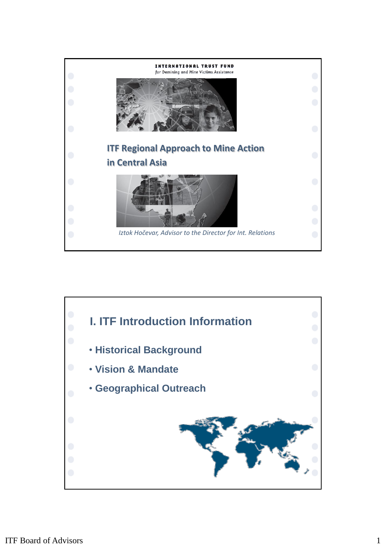

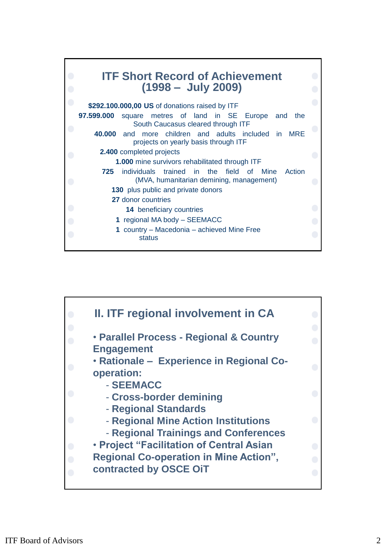

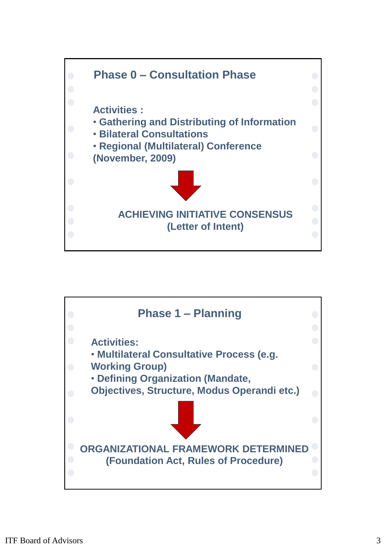

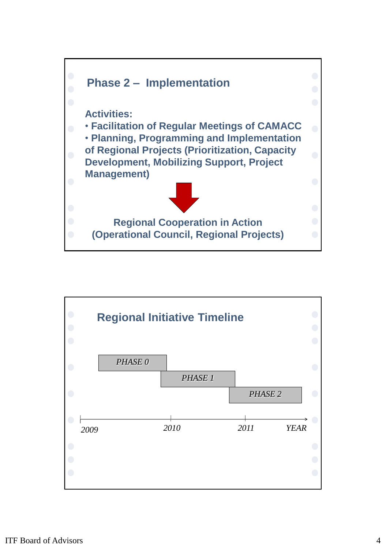